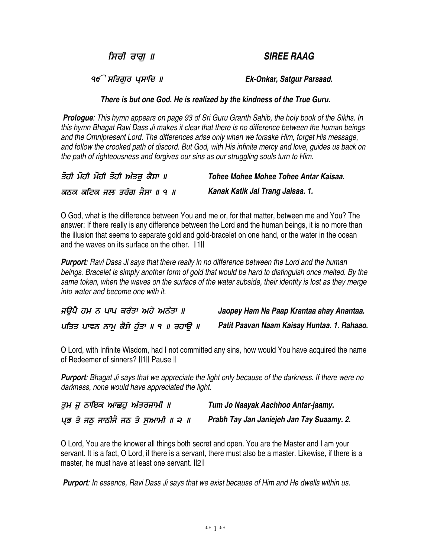- *SIREE RAAG*

੧*€ੇ* ਸਤਿਗੁਰ ਪ੍ਸਾ।

 *Ek-Onkar, Satgur Parsaad.*

#### *There is but one God. He is realized by the kindness of the True Guru.*

**Proloque:** This hymn appears on page 93 of Sri Guru Granth Sahib, the holy book of the Sikhs. In *this hymn Bhagat Ravi Dass Ji makes it clear that there is no difference between the human beings and the Omnipresent Lord. The differences arise only when we forsake Him, forget His message,* and follow the crooked path of discord. But God, with His infinite mercy and love, guides us back on *the path of righteousness and forgives our sins as our struggling souls turn to Him.*

| ਤੋਹੀ ਮੋਹੀ ਮੋਹੀ ਤੋਹੀ ਅੰਤਰ ਕੈਸਾ ॥ | Tohee Mohee Mohee Tohee Antar Kaisaa. |
|---------------------------------|---------------------------------------|
| ਕਨਕ ਕਟਿਕ ਜਲ ਤਰੰਗ ਜੈਸਾ ॥ ੧ ॥     | Kanak Katik Jal Trang Jaisaa. 1.      |

O God, what is the difference between You and me or, for that matter, between me and You? The answer: If there really is any difference between the Lord and the human beings, it is no more than the illusion that seems to separate gold and gold-bracelet on one hand, or the water in the ocean and the waves on its surface on the other.  $\|1\|$ 

*Purport: Ravi Dass Ji says that there really in no difference between the Lord and the human* beings. Bracelet is simply another form of gold that would be hard to distinguish once melted. By the same token, when the waves on the surface of the water subside, their identity is lost as they merge *into water and become one with it.*

ਜੳਪੈ ਹਮ ਨ ਪਾਪ ਕਰੰਤਾ ਅਹੇ ਅਨੰਤਾ ॥ ਪਤਿਤ ਪਾਵਨ ਨਾਮੁ ਕੈਸੇ ਹੁੰਤਾ ॥ ੧ ॥ ਰਹਾਉ ॥ *Jaopey Ham Na Paap Krantaa ahay Anantaa. Patit Paavan Naam Kaisay Huntaa. 1. Rahaao***.**

O Lord, with Infinite Wisdom, had I not committed any sins, how would You have acquired the name of Redeemer of sinners? ||1|| Pause ||

**Purport:** Bhagat Ji says that we appreciate the light only because of the darkness. If there were no *darkness, none would have appreciated the light.*

| ਤੁਮ ਜੁ ਨਾਇਕ ਆਛਹੁ ਅੰਤਰਜਾਮੀ ॥      | Tum Jo Naayak Aachhoo Antar-jaamy.        |
|----------------------------------|-------------------------------------------|
| ਪਭ ਤੇ ਜਨ ਜਾਨੀਜੈ ਜਨ ਤੇ ਸਆਮੀ ॥ ੨ ॥ | Prabh Tay Jan Janiejeh Jan Tay Suaamy. 2. |

O Lord, You are the knower all things both secret and open. You are the Master and I am your servant. It is a fact, O Lord, if there is a servant, there must also be a master. Likewise, if there is a master, he must have at least one servant. ||2||

**Purport:** In essence, Ravi Dass Ji says that we exist because of Him and He dwells within us.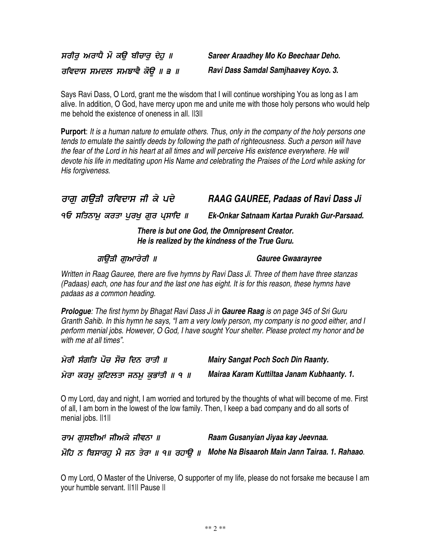| ਸਰੀਰੂ ਅਰਾਧੈ ਮੋ ਕਉ ਬੀਚਾਰੂ ਦੇਹੂ ॥ | Sareer Araadhey Mo Ko Beechaar Deho. |
|---------------------------------|--------------------------------------|
| ਰਵਿਦਾਸ ਸਮਦਲ ਸਮਝਾਵੈ ਕੋੳ ॥ ੩ ॥    | Ravi Dass Samdal Samjhaavey Koyo. 3. |

Says Ravi Dass, O Lord, grant me the wisdom that I will continue worshiping You as long as I am alive. In addition, O God, have mercy upon me and unite me with those holy persons who would help me behold the existence of oneness in all.  $||3||$ 

**Purport:** It is a human nature to emulate others. Thus, only in the company of the holy persons one *tends to emulate the saintly deeds by following the path of righteousness. Such a person will have* the fear of the Lord in his heart at all times and will perceive His existence everywhere. He will devote his life in meditating upon His Name and celebrating the Praises of the Lord while asking for *His forgiveness.*

ਰਾਗ ਗੳੜੀ ਰਵਿਦਾਸ ਜੀ ਕੇ ਪਦੇ *RAAG GAUREE, Padaas of Ravi Dass Ji*

੧ਓ ਸਤਿਨਾਮੁ ਕਰਤਾ ਪੁਰਖੁ ਗੁਰ ਪ੍ਸਾ। *Ek-Onkar Satnaam Kartaa Purakh Gur-Parsaad.*

> *There is but one God, the Omnipresent Creator. He is realized by the kindness of the True Guru.*

ਗੳੜੀ ਗਆਰੇਰੀ ॥ Gauree Gwaarayree

*Written in Raag Gauree, there are five hymns by Ravi Dass Ji. Three of them have three stanzas* (Padaas) each, one has four and the last one has eight. It is for this reason, these hymns have *padaas as a common heading.*

**Prologue:** The first hymn by Bhagat Ravi Dass Ji in Gauree Raag is on page 345 of Sri Guru Granth Sahib. In this hymn he says, "I am a very lowly person, my company is no good either, and I *perform menial jobs. However, O God, I have sought Your shelter. Please protect my honor and be with me at all times".*

ਮੇਰੀ ਸੰਗਤਿ ਪੋਚ ਸੋਚ ਦਿਨ ਰਾਤੀ ॥ ਮੇਰਾ ਕਰਮੁ ਕੁਟਿਲਤਾ ਜਨਮੁ ਕੁਭਾਂਤੀ ॥ ੧ ॥ *Mairy Sangat Poch Soch Din Raanty. Mairaa Karam Kuttiltaa Janam Kubhaanty. 1.*

O my Lord, day and night, I am worried and tortured by the thoughts of what will become of me. First of all, I am born in the lowest of the low family. Then, I keep a bad company and do all sorts of menial jobs. ||1||

ਰਾਮ ਗਸਈਆਂ ਜੀਅਕੇ ਜੀਵਨਾ ॥ ਮੌਹਿ ਨ ਬਿਸਾਰਹੁ ਮੈ ਜਨ ਤੇਰਾ ॥ ੧॥ ਰਹਾਉ ॥ Mohe Na Bisaaroh Main Jann Tairaa. 1. Rahaao. *Raam Gusanyian Jiyaa kay Jeevnaa.*

O my Lord, O Master of the Universe, O supporter of my life, please do not forsake me because I am your humble servant. ||1|| Pause ||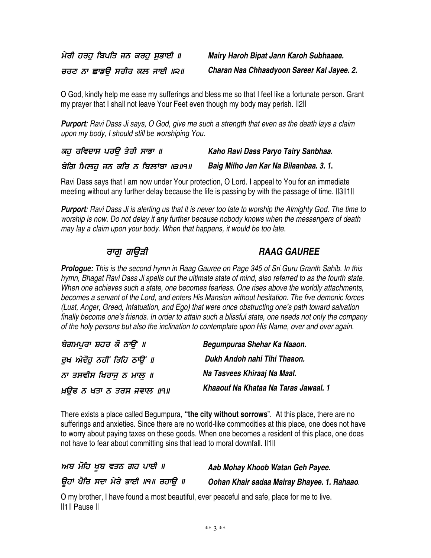| ਮੇਰੀ ਹਰਹ ਬਿਪਤਿ ਜਨ ਕਰਹੂ ਸੁਭਾਈ ॥ | Mairy Haroh Bipat Jann Karoh Subhaaee.     |
|--------------------------------|--------------------------------------------|
| ਚਰਣ ਨਾ ਛਾਡੳ ਸਰੀਰ ਕਲ ਜਾਈ ॥੨॥    | Charan Naa Chhaadyoon Sareer Kal Jayee. 2. |

O God, kindly help me ease my sufferings and bless me so that I feel like a fortunate person. Grant my prayer that I shall not leave Your Feet even though my body may perish. ||2||

**Purport:** Ravi Dass Ji says, O God, give me such a strength that even as the death lays a claim *upon my body, I should still be worshiping You.*

| ਕਹ ਰਵਿਦਾਸ ਪਰੳ ਤੇਰੀ ਸਾਭਾ ॥        | Kaho Ravi Dass Paryo Tairy Sanbhaa.    |
|----------------------------------|----------------------------------------|
| ਬੇਗਿ ਮਿਲਹ ਜਨ ਕਰਿ ਨ ਬਿਲਾਂਬਾ ॥੩॥੧॥ | Baig Milho Jan Kar Na Bilaanbaa. 3. 1. |

Ravi Dass says that I am now under Your protection, O Lord. I appeal to You for an immediate meeting without any further delay because the life is passing by with the passage of time. ||3||1||

**Purport:** Ravi Dass Ji is alerting us that it is never too late to worship the Almighty God. The time to *worship is now. Do not delay it any further because nobody knows when the messengers of death may lay a claim upon your body. When that happens, it would be too late.*

# ( *RAAG GAUREE*

**Prologue:** This is the second hymn in Raag Gauree on Page 345 of Sri Guru Granth Sahib. In this hymn, Bhagat Ravi Dass Ji spells out the ultimate state of mind, also referred to as the fourth state. *When one achieves such a state, one becomes fearless. One rises above the worldly attachments, becomes a servant of the Lord, and enters His Mansion without hesitation. The five demonic forces (Lust, Anger, Greed, Infatuation, and Ego) that were once obstructing one's path toward salvation* finally become one's friends. In order to attain such a blissful state, one needs not only the company *of the holy persons but also the inclination to contemplate upon His Name, over and over again*.

| ਬੇਗਮਪਰਾ ਸ਼ਹਰ ਕੋ ਨਾੳਂ ॥    | Begumpuraa Shehar Ka Naaon.          |
|---------------------------|--------------------------------------|
| ਦਖ ਅੰਦੋਹ ਨਹੀਂ ਤਿਹਿ ਠਾੳਂ ॥ | Dukh Andoh nahi Tihi Thaaon.         |
| ਨਾ ਤਸਵੀਸ ਖਿਰਾਜ ਨ ਮਾਲ ॥    | Na Tasvees Khiraaj Na Maal.          |
| ਖ਼ੳਫ ਨ ਖਤਾ ਨ ਤਰਸ ਜਵਾਲ ॥੧॥ | Khaaouf Na Khataa Na Taras Jawaal. 1 |

There exists a place called Begumpura, **"the city without sorrows**". At this place, there are no sufferings and anxieties. Since there are no world-like commodities at this place, one does not have to worry about paying taxes on these goods. When one becomes a resident of this place, one does not have to fear about committing sins that lead to moral downfall. ||1||

| ਅਬ ਮੋਹਿ ਖੂਬ ਵਤਨ ਗਹ ਪਾਈ ॥                                                                                     | Aab Mohay Khoob Watan Geh Payee.            |
|--------------------------------------------------------------------------------------------------------------|---------------------------------------------|
| ੳਹਾਂ ਖੈਰਿ ਸਦਾ ਮੇਰੇ ਭਾਈ ॥੧॥ ਰਹਾੳ ॥                                                                            | Oohan Khair sadaa Mairay Bhayee. 1. Rahaao. |
| O my brother, I have found a most beautiful, ever peaceful and safe, place for me to live.<br>ll1ll Pause II |                                             |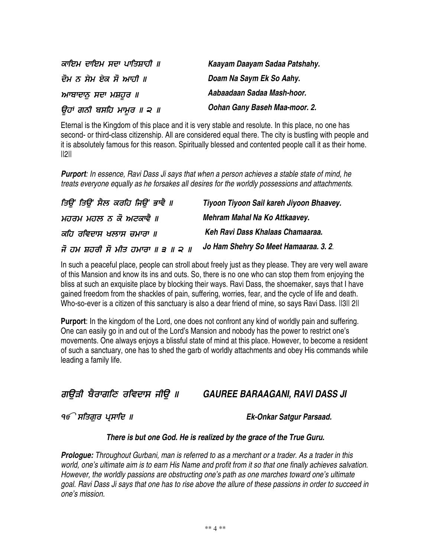| ਕਾਇਮ ਦਾਇਮ ਸਦਾ ਪਾਤਿਸ਼ਾਹੀ ॥ | Kaayam Daayam Sadaa Patshahy. |
|---------------------------|-------------------------------|
| ਦੋਮ ਨ ਸੇਮ ਏਕ ਸੋ ਆਹੀ ॥     | Doam Na Saym Ek So Aahy.      |
| ਆਬਾਦਾਨੁ ਸਦਾ ਮਸ਼ਹੂਰ ॥      | Aabaadaan Sadaa Mash-hoor.    |
| ਉਹਾਂ ਗਨੀ ਬਸਹਿ ਮਾਮੁਰ ॥ ੨ ॥ | Oohan Gany Baseh Maa-moor. 2. |

Eternal is the Kingdom of this place and it is very stable and resolute. In this place, no one has second- or third-class citizenship. All are considered equal there. The city is bustling with people and it is absolutely famous for this reason. Spiritually blessed and contented people call it as their home. ||2||

**Purport:** In essence, Ravi Dass Ji says that when a person achieves a stable state of mind, he *treats everyone equally as he forsakes all desires for the worldly possessions and attachments.*

| ਤਿੳਂ ਤਿੳਂ ਸੈਲ ਕਰਹਿ ਜਿੳਂ ਭਾਵੈ ॥     | Tiyoon Tiyoon Sail kareh Jiyoon Bhaavey. |
|------------------------------------|------------------------------------------|
| ਮਹਰਮ ਮਹਲ ਨ ਕੋ ਅਟਕਾਵੈ ॥             | Mehram Mahal Na Ko Attkaavey.            |
| ਕਹਿ ਰਵਿਦਾਸ ਖਲਾਸ ਚਮਾਰਾ ॥            | Keh Ravi Dass Khalaas Chamaaraa.         |
| ਜੋ ਹਮ ਸ਼ਹਰੀ ਸੋ ਮੀਤ ਹਮਾਰਾ ॥ ੩ ॥ ੨ ॥ | Jo Ham Shehry So Meet Hamaaraa. 3.2.     |

In such a peaceful place, people can stroll about freely just as they please. They are very well aware of this Mansion and know its ins and outs. So, there is no one who can stop them from enjoying the bliss at such an exquisite place by blocking their ways. Ravi Dass, the shoemaker, says that I have gained freedom from the shackles of pain, suffering, worries, fear, and the cycle of life and death. Who-so-ever is a citizen of this sanctuary is also a dear friend of mine, so says Ravi Dass. II3II 2II

**Purport**: In the kingdom of the Lord, one does not confront any kind of worldly pain and suffering. One can easily go in and out of the Lord's Mansion and nobody has the power to restrict one's movements. One always enjoys a blissful state of mind at this place. However, to become a resident of such a sanctuary, one has to shed the garb of worldly attachments and obey His commands while leading a family life.

# ( #-, - *GAUREE BARAAGANI, RAVI DASS JI*

੧*€ੇ* ਸਤਿਗੁਰ ਪ੍ਸਾਂ।

 *Ek-Onkar Satgur Parsaad.*

#### *There is but one God. He is realized by the grace of the True Guru.*

*Prologue: Throughout Gurbani, man is referred to as a merchant or a trader. As a trader in this* world, one's ultimate aim is to earn His Name and profit from it so that one finally achieves salvation. *However, the worldly passions are obstructing one's path as one marches toward one's ultimate* goal. Ravi Dass Ji says that one has to rise above the allure of these passions in order to succeed in *one's mission.*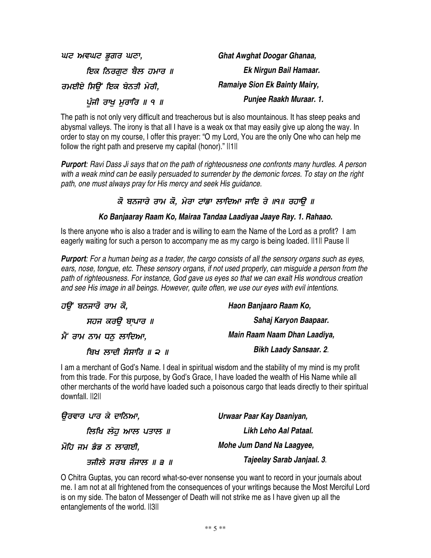| ਘਟ ਅਵਘਟ ਡੁਗਰ ਘਣਾ,        | <b>Ghat Awghat Doogar Ghanaa,</b>    |
|--------------------------|--------------------------------------|
| ਇਕ ਨਿਰਗਣ ਬੈਲ ਹਮਾਰ ॥      | Ek Nirgun Bail Hamaar.               |
| ਰਮਈਏ ਸਿੳਂ ਇਕ ਬੇਨਤੀ ਮੇਰੀ, | <b>Ramaiye Sion Ek Bainty Mairy,</b> |
| ਪੁੰਜੀ ਰਾਖੂ ਮੁਰਾਰਿ ॥ ੧ ॥  | Punjee Raakh Muraar. 1.              |

The path is not only very difficult and treacherous but is also mountainous. It has steep peaks and abysmal valleys. The irony is that all I have is a weak ox that may easily give up along the way. In order to stay on my course, I offer this prayer: "O my Lord, You are the only One who can help me follow the right path and preserve my capital (honor)." ||1||

*Purport: Ravi Dass Ji says that on the path of righteousness one confronts many hurdles. A person* with a weak mind can be easily persuaded to surrender by the demonic forces. To stay on the right *path, one must always pray for His mercy and seek His guidance.*

# ਕੋ ਬਨਜਾਰੇ ਰਾਮ ਕੋ, ਮੇਰਾ ਟਾਂਡਾ ਲਾਦਿਆ ਜਾਇ ਰੇ ॥੧॥ ਰਹਾਉ ॥

#### *Ko Banjaaray Raam Ko, Mairaa Tandaa Laadiyaa Jaaye Ray. 1. Rahaao.*

Is there anyone who is also a trader and is willing to earn the Name of the Lord as a profit? I am eagerly waiting for such a person to accompany me as my cargo is being loaded. II1II Pause II

**Purport:** For a human being as a trader, the cargo consists of all the sensory organs such as eyes, *ears, nose, tongue, etc. These sensory organs, if not used properly, can misguide a person from the path of righteousness. For instance, God gave us eyes so that we can exalt His wondrous creation and see His image in all beings. However, quite often, we use our eyes with evil intentions.*

| ਹੳਂ ਬਨਜਾਰੋ ਰਾਮ ਕੋ,    | Haon Banjaaro Raam Ko,        |
|-----------------------|-------------------------------|
| ਸਹਜ ਕਰੳ ਬਾੁਪਾਰ ॥      | Sahaj Karyon Baapaar.         |
| ਮੈਂ ਰਾਮ ਨਾਮ ਧਨ ਲਾਦਿਆ. | Main Raam Naam Dhan Laadiya,  |
| ਬਿਖ ਲਾਦੀ ਸੰਸਾਰਿ ॥ ੨ ॥ | <b>Bikh Laady Sansaar. 2.</b> |

I am a merchant of God's Name. I deal in spiritual wisdom and the stability of my mind is my profit from this trade. For this purpose, by God's Grace, I have loaded the wealth of His Name while all other merchants of the world have loaded such a poisonous cargo that leads directly to their spiritual downfall. ||2||

| ੳਰਵਾਰ ਪਾਰ ਕੇ ਦਾਨਿਆ,   | Urwaar Paar Kay Daaniyan,  |
|-----------------------|----------------------------|
| ਲਿਖਿ ਲੇਹ ਆਲ ਪਤਾਲ ॥    | Likh Leho Aal Pataal.      |
| ਮੋਹਿ ਜਮ ਡੰਡ ਨ ਲਾਗਈ.   | Mohe Jum Dand Na Laagyee,  |
| ਤਜੀਲੇ ਸਰਬ ਜੰਜਾਲ ॥ ੩ ॥ | Tajeelay Sarab Janjaal. 3. |

O Chitra Guptas, you can record what-so-ever nonsense you want to record in your journals about me. I am not at all frightened from the consequences of your writings because the Most Merciful Lord is on my side. The baton of Messenger of Death will not strike me as I have given up all the entanglements of the world. ||3||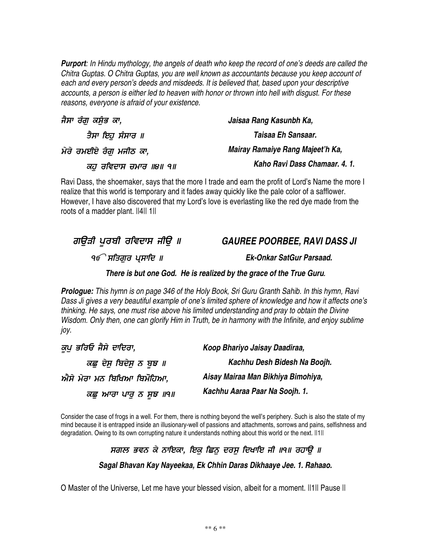**Purport:** In Hindu mythology, the angels of death who keep the record of one's deeds are called the *Chitra Guptas. O Chitra Guptas, you are well known as accountants because you keep account of each and every person's deeds and misdeeds. It is believed that, based upon your descriptive accounts, a person is either led to heaven with honor or thrown into hell with disgust. For these reasons, everyone is afraid of your existence.*

| ਜੈਸਾ ਰੰਗ ਕਸੰਭ ਕਾ,      | Jaisaa Rang Kasunbh Ka,          |
|------------------------|----------------------------------|
| ਤੈਸਾ ਇਹ ਸੰਸਾਰ ॥        | Taisaa Eh Sansaar.               |
| ਮੇਰੇ ਰਮਈਏ ਰੰਗ ਮਜੀਠ ਕਾ, | Mairay Ramaiye Rang Majeet'h Ka, |
| ਕਹ ਰਵਿਦਾਸ ਚਮਾਰ ॥੪॥ ੧॥  | Kaho Ravi Dass Chamaar. 4.1.     |

Ravi Dass, the shoemaker, says that the more I trade and earn the profit of Lord's Name the more I realize that this world is temporary and it fades away quickly like the pale color of a safflower. However, I have also discovered that my Lord's love is everlasting like the red dye made from the roots of a madder plant. ||4|| 1||

|  | ਗਉੜੀ ਪੁਰਬੀ ਰਵਿਦਾਸ ਜੀਉ ॥ | <b>GAUREE POORBEE, RAVI DASS JI</b> |
|--|-------------------------|-------------------------------------|
|  |                         |                                     |

੧*€ੇ* ਸਤਿਗੁਰ ਪ੍ਸਾ।

#### *Ek-Onkar SatGur Parsaad.*

*There is but one God. He is realized by the grace of the True Guru.*

**Prologue:** This hymn is on page 346 of the Holy Book, Sri Guru Granth Sahib. In this hymn, Ravi Dass Ji gives a very beautiful example of one's limited sphere of knowledge and how it affects one's *thinking. He says, one must rise above his limited understanding and pray to obtain the Divine* Wisdom. Only then, one can glorify Him in Truth, be in harmony with the Infinite, and enjoy sublime *joy.*

| ਕਪ ਭਰਿਓ ਜੈਸੇ ਦਾਦਿਰਾ,       | Koop Bhariyo Jaisay Daadiraa,      |
|----------------------------|------------------------------------|
| ਕਛੁ ਦੇਸੁ ਬਿਦੇਸੁ ਨ ਬੁਝ ॥    | Kachhu Desh Bidesh Na Boojh.       |
| ਐਸੇ ਮੇਰਾ ਮਨ ਬਿਖਿਆ ਬਿਮੋਹਿਆ, | Aisay Mairaa Man Bikhiya Bimohiya, |
| ਕਛੂ ਆਰਾ ਪਾਰੂ ਨ ਸੂਝ ॥੧॥     | Kachhu Aaraa Paar Na Soojh. 1.     |

Consider the case of frogs in a well. For them, there is nothing beyond the well's periphery. Such is also the state of my mind because it is entrapped inside an illusionary-well of passions and attachments, sorrows and pains, selfishness and degradation. Owing to its own corrupting nature it understands nothing about this world or the next. ||1||

# ਸਗਲ ਭਵਨ ਕੇ ਨਾਇਕਾ, ਇਕੁ ਛਿਨੁ ਦਰਸੁ ਦਿਖਾਇ ਜੀ ॥੧॥ ਰਹਾਉ ॥

#### *Sagal Bhavan Kay Nayeekaa, Ek Chhin Daras Dikhaaye Jee. 1. Rahaao.*

O Master of the Universe, Let me have your blessed vision, albeit for a moment. ||1|| Pause ||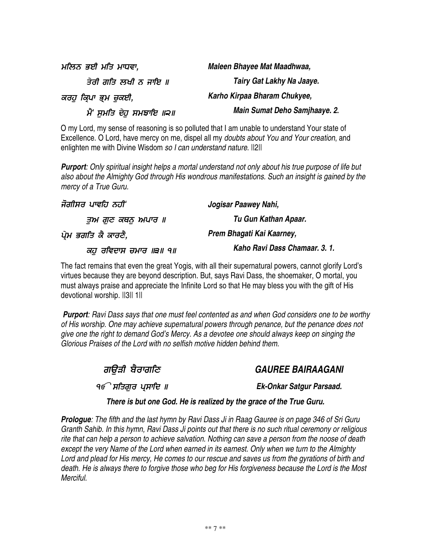| ਮਲਿਨ ਭਈ ਮਤਿ ਮਾਧਵਾ,     | Maleen Bhayee Mat Maadhwaa,   |
|------------------------|-------------------------------|
| ਤੇਰੀ ਗਤਿ ਲਖੀ ਨ ਜਾਇ ॥   | Tairy Gat Lakhy Na Jaaye.     |
| ਕਰਹੂ ਕ੍ਰਿਪਾ ਭ੍ਰਮ ਚੁਕਈ, | Karho Kirpaa Bharam Chukyee,  |
| ਮੈਂ ਸਮਤਿ ਦੇਹ ਸਮਝਾਇ ॥੨॥ | Main Sumat Deho Samjhaaye. 2. |

O my Lord, my sense of reasoning is so polluted that I am unable to understand Your state of Excellence. O Lord, have mercy on me, dispel all my *doubts about You and Your creation*, and enlighten me with Divine Wisdom *so I can understand nature*. ||2||

**Purport:** Only spiritual insight helps a mortal understand not only about his true purpose of life but *also about the Almighty God through His wondrous manifestations. Such an insight is gained by the mercy of a True Guru.*

| ਜੋਗੀਸਰ ਪਾਵਹਿ ਨਹੀਂ     | Jogisar Paawey Nahi,          |
|-----------------------|-------------------------------|
| ਤਅ ਗਣ ਕਥਨ ਅਪਾਰ ॥      | Tu Gun Kathan Apaar.          |
| ਪੇਮ ਭਗਤਿ ਕੈ ਕਾਰਣੈ,    | Prem Bhagati Kai Kaarney,     |
| ਕਹ ਰਵਿਦਾਸ ਚਮਾਰ ॥੩॥ ੧॥ | Kaho Ravi Dass Chamaar. 3. 1. |

The fact remains that even the great Yogis, with all their supernatural powers, cannot glorify Lord's virtues because they are beyond description. But, says Ravi Dass, the shoemaker, O mortal, you must always praise and appreciate the Infinite Lord so that He may bless you with the gift of His devotional worship. ||3|| 1||

**Purport:** Ravi Dass says that one must feel contented as and when God considers one to be worthy *of His worship. One may achieve supernatural powers through penance, but the penance does not give one the right to demand God's Mercy. As a devotee one should always keep on singing the Glorious Praises of the Lord with no selfish motive hidden behind them.*

ਗੳੜੀ ਬੈਰਾਗਣਿ

, *GAUREE BAIRAAGANI*

੧*€ੇ* ਸਤਿਗੁਰ ਪ੍ਸਾਾਂ

 *Ek-Onkar Satgur Parsaad.*

*There is but one God. He is realized by the grace of the True Guru.*

Prologue: The fifth and the last hymn by Ravi Dass Ji in Raag Gauree is on page 346 of Sri Guru Granth Sahib. In this hymn, Ravi Dass Ji points out that there is no such ritual ceremony or religious rite that can help a person to achieve salvation. Nothing can save a person from the noose of death except the very Name of the Lord when earned in its earnest. Only when we turn to the Almighty Lord and plead for His mercy, He comes to our rescue and saves us from the gyrations of birth and death. He is always there to forgive those who beg for His forgiveness because the Lord is the Most *Merciful.*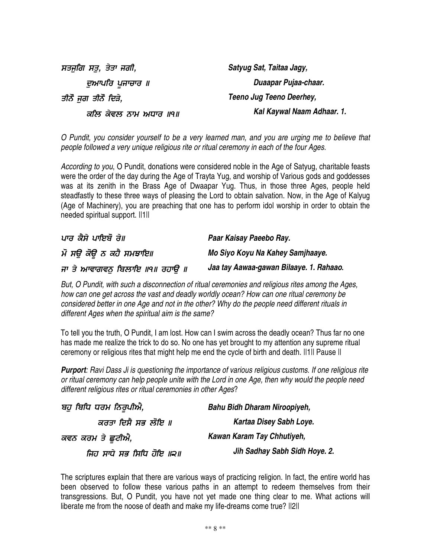| ਸਤਜਗਿ ਸਤ, ਤੇਤਾ ਜਗੀ,   | Satyug Sat, Taitaa Jagy,   |
|-----------------------|----------------------------|
| ਦੁਆਪਰਿ ਪੁਜਾਰਾਰ ॥      | Duaapar Pujaa-chaar.       |
| ਤੀਨੌ ਜਗ ਤੀਨੌ ਦਿੜੇ,    | Teeno Jug Teeno Deerhey,   |
| ਕਲਿ ਕੇਵਲ ਨਾਮ ਅਧਾਰ ॥੧॥ | Kal Kaywal Naam Adhaar. 1. |

O Pundit, you consider yourself to be a very learned man, and you are urging me to believe that *people followed a very unique religious rite or ritual ceremony in each of the four Ages.*

*According to you*, O Pundit, donations were considered noble in the Age of Satyug, charitable feasts were the order of the day during the Age of Trayta Yug, and worship of Various gods and goddesses was at its zenith in the Brass Age of Dwaapar Yug. Thus, in those three Ages, people held steadfastly to these three ways of pleasing the Lord to obtain salvation. Now, in the Age of Kalyug (Age of Machinery), you are preaching that one has to perform idol worship in order to obtain the needed spiritual support. ||1||

| ਪਾਰ ਕੈਸੇ ਪਾਇਬੋ ਰੇ॥            | Paar Kaisay Paeebo Ray.                 |
|-------------------------------|-----------------------------------------|
| ਮੋ ਸੳ ਕੋੳ ਨ ਕਹੈ ਸਮਝਾਇ॥        | Mo Siyo Koyu Na Kahey Samjhaaye.        |
| ਜਾ ਤੇ ਆਵਾਗਵਨ ਬਿਲਾਇ ॥੧॥ ਰਹਾੳ ॥ | Jaa tay Aawaa-gawan Bilaaye. 1. Rahaao. |

*But, O Pundit, with such a disconnection of ritual ceremonies and religious rites among the Ages, how can one get across the vast and deadly worldly ocean? How can one ritual ceremony be considered better in one Age and not in the other? Why do the people need different rituals in different Ages when the spiritual aim is the same?*

To tell you the truth, O Pundit, I am lost. How can I swim across the deadly ocean? Thus far no one has made me realize the trick to do so. No one has yet brought to my attention any supreme ritual ceremony or religious rites that might help me end the cycle of birth and death. ||1|| Pause ||

*Purport: Ravi Dass Ji is questioning the importance of various religious customs. If one religious rite* or ritual ceremony can help people unite with the Lord in one Age, then why would the people need *different religious rites or ritual ceremonies in other Ages*?

| ਬਹੁ ਬਿਧਿ ਧਰਮ ਨਿਰੁਪੀਐ,    | Bahu Bidh Dharam Niroopiyeh,  |
|--------------------------|-------------------------------|
| ਕਰਤਾ ਦਿਸੈ ਸਭ ਲੋਇ ॥       | Kartaa Disey Sabh Loye.       |
| ਕਵਨ ਕਰਮ ਤੇ ਛਟੀਐ,         | Kawan Karam Tay Chhutiyeh,    |
| ਜਿਹ ਸਾਧੇ ਸਭ ਸਿਧਿ ਹੋਇ ॥੨॥ | Jih Sadhay Sabh Sidh Hoye. 2. |

The scriptures explain that there are various ways of practicing religion. In fact, the entire world has been observed to follow these various paths in an attempt to redeem themselves from their transgressions. But, O Pundit, you have not yet made one thing clear to me. What actions will liberate me from the noose of death and make my life-dreams come true?  $||2||$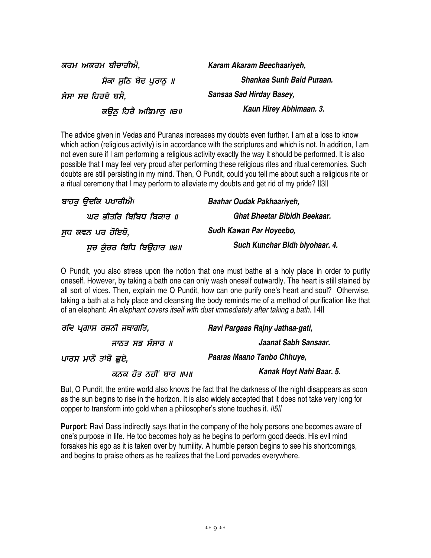ਕਰਮ ਅਕਰਮ ਬੀਚਾਰੀਐ. ਸੰਕਾ ਸੁਨਿ ਬੇਦ ਪੁਰਾਨੁ ॥ ਸੰਸਾ ਸਦ ਹਿਰਦੇ ਬਸੈ, ਕਉਨੁ ਹਿਰੈ ਅਭਿਮਾਨੁ ॥੩॥ *Karam Akaram Beechaariyeh, Shankaa Sunh Baid Puraan. Sansaa Sad Hirday Basey, Kaun Hirey Abhimaan. 3.*

The advice given in Vedas and Puranas increases my doubts even further. I am at a loss to know which action (religious activity) is in accordance with the scriptures and which is not. In addition, I am not even sure if I am performing a religious activity exactly the way it should be performed. It is also possible that I may feel very proud after performing these religious rites and ritual ceremonies. Such doubts are still persisting in my mind. Then, O Pundit, could you tell me about such a religious rite or a ritual ceremony that I may perform to alleviate my doubts and get rid of my pride? ||3||

| ਬਾਹਰ ੳੇਦਕਿ ਪਖਾਰੀਐ।        | Baahar Oudak Pakhaariyeh,           |
|---------------------------|-------------------------------------|
| ਘਟ ਭੀਤਰਿ ਬਿਬਿਧ ਬਿਕਾਰ ॥    | <b>Ghat Bheetar Bibidh Beekaar.</b> |
| ਸਧ ਕਵਨ ਪਰ ਹੋਇਬੋ,          | Sudh Kawan Par Hoyeebo,             |
| ਸੂਚ ਕੁੰਚਰ ਬਿਧਿ ਬਿਊਹਾਰ ॥੪॥ | Such Kunchar Bidh biyohaar. 4.      |

O Pundit, you also stress upon the notion that one must bathe at a holy place in order to purify oneself. However, by taking a bath one can only wash oneself outwardly. The heart is still stained by all sort of vices. Then, explain me O Pundit, how can one purify one's heart and soul? Otherwise, taking a bath at a holy place and cleansing the body reminds me of a method of purification like that of an elephant: *An elephant covers itself with dust immediately after taking a bath*. ||4||

| ਰਵਿ ਪ੍ਰਗਾਸ ਰਜਨੀ ਜਥਾਗਤਿ, | Ravi Pargaas Rajny Jathaa-gati, |
|-------------------------|---------------------------------|
| ਜਾਨਤ ਸਭ ਸੰਸਾਰ ॥         | Jaanat Sabh Sansaar.            |
| ਪਾਰਸ ਮਾਨੋ ਤਾਂਬੋ ਛਏ,     | Paaras Maano Tanbo Chhuye,      |
| ਕਨਕ ਹੋਤ ਨਹੀਂ ਬਾਰ ॥੫॥    | Kanak Hoyt Nahi Baar. 5.        |

But, O Pundit, the entire world also knows the fact that the darkness of the night disappears as soon as the sun begins to rise in the horizon. It is also widely accepted that it does not take very long for copper to transform into gold when a philosopher's stone touches it. *||5||*

**Purport**: Ravi Dass indirectly says that in the company of the holy persons one becomes aware of one's purpose in life. He too becomes holy as he begins to perform good deeds. His evil mind forsakes his ego as it is taken over by humility. A humble person begins to see his shortcomings, and begins to praise others as he realizes that the Lord pervades everywhere.